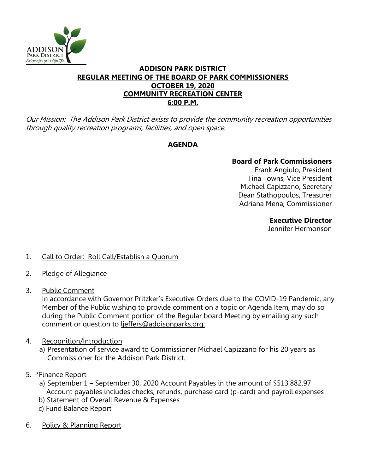

### **ADDISON PARK DISTRICT REGULAR MEETING OF THE BOARD OF PARK COMMISSIONERS OCTOBER 19, 2020 COMMUNITY RECREATION CENTER 6:00 P.M.**

Our Mission: The Addison Park District exists to provide the community recreation opportunities through quality recreation programs, facilities, and open space.

# **AGENDA**

## **Board of Park Commissioners**

Frank Angiulo, President Tina Towns, Vice President Michael Capizzano, Secretary Dean Stathopoulos, Treasurer Adriana Mena, Commissioner

#### **Executive Director**

Jennifer Hermonson

- 1. Call to Order: Roll Call/Establish a Quorum
- 2. Pledge of Allegiance
- 3. Public Comment

In accordance with Governor Pritzker's Executive Orders due to the COVID-19 Pandemic, any Member of the Public wishing to provide comment on a topic or Agenda Item, may do so during the Public Comment portion of the Regular board Meeting by emailing any such comment or question to ljeffers@addisonparks.org.

- 4. Recognition/Introduction
	- a) Presentation of service award to Commissioner Michael Capizzano for his 20 years as Commissioner for the Addison Park District.
- 5. \*Finance Report
	- a) September 1 September 30, 2020 Account Payables in the amount of \$513,882.97 Account payables includes checks, refunds, purchase card (p-card) and payroll expenses
	- b) Statement of Overall Revenue & Expenses
	- c) Fund Balance Report
- 6. Policy & Planning Report